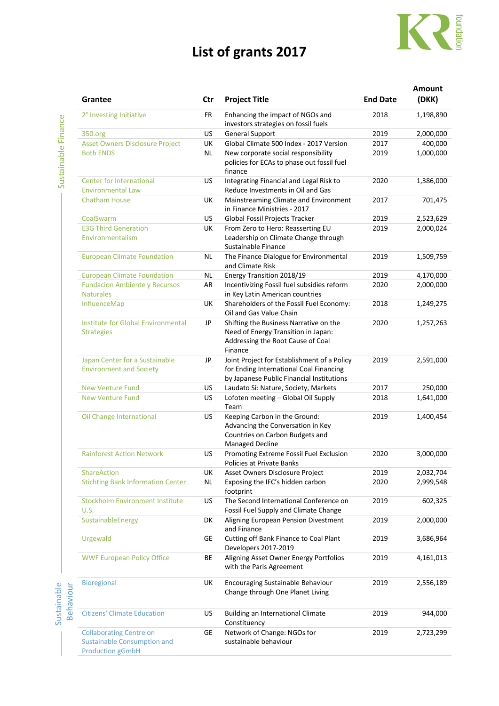## **List of grants 2017**



Sustainable

| Grantee                                                                                         | Ctr       | <b>Project Title</b>                                                                                                                | <b>End Date</b> | Amount<br>(DKK) |
|-------------------------------------------------------------------------------------------------|-----------|-------------------------------------------------------------------------------------------------------------------------------------|-----------------|-----------------|
| 2° Investing Initiative                                                                         | FR        | Enhancing the impact of NGOs and<br>investors strategies on fossil fuels                                                            | 2018            | 1,198,890       |
| 350.org                                                                                         | US        | <b>General Support</b>                                                                                                              | 2019            | 2,000,000       |
| <b>Asset Owners Disclosure Project</b>                                                          | UK        | Global Climate 500 Index - 2017 Version                                                                                             | 2017            | 400,000         |
| <b>Both ENDS</b>                                                                                | <b>NL</b> | New corporate social responsibility<br>policies for ECAs to phase out fossil fuel<br>finance                                        | 2019            | 1,000,000       |
| Center for International<br><b>Environmental Law</b>                                            | US        | Integrating Financial and Legal Risk to<br>Reduce Investments in Oil and Gas                                                        | 2020            | 1,386,000       |
| <b>Chatham House</b>                                                                            | UK        | Mainstreaming Climate and Environment<br>in Finance Ministries - 2017                                                               | 2017            | 701,475         |
| CoalSwarm                                                                                       | US        | Global Fossil Projects Tracker                                                                                                      | 2019            | 2,523,629       |
| <b>E3G Third Generation</b>                                                                     | UK        | From Zero to Hero: Reasserting EU                                                                                                   | 2019            | 2,000,024       |
| Environmentalism                                                                                |           | Leadership on Climate Change through<br>Sustainable Finance                                                                         |                 |                 |
| <b>European Climate Foundation</b>                                                              | <b>NL</b> | The Finance Dialogue for Environmental<br>and Climate Risk                                                                          | 2019            | 1,509,759       |
| <b>European Climate Foundation</b>                                                              | NL        | Energy Transition 2018/19                                                                                                           | 2019            | 4,170,000       |
| <b>Fundacion Ambiente y Recursos</b><br><b>Naturales</b>                                        | AR        | Incentivizing Fossil fuel subsidies reform<br>in Key Latin American countries                                                       | 2020            | 2,000,000       |
| InfluenceMap                                                                                    | UK        | Shareholders of the Fossil Fuel Economy:<br>Oil and Gas Value Chain                                                                 | 2018            | 1,249,275       |
| Institute for Global Environmental<br><b>Strategies</b>                                         | JP        | Shifting the Business Narrative on the<br>Need of Energy Transition in Japan:<br>Addressing the Root Cause of Coal<br>Finance       | 2020            | 1,257,263       |
| Japan Center for a Sustainable<br><b>Environment and Society</b>                                | JP        | Joint Project for Establishment of a Policy<br>for Ending International Coal Financing<br>by Japanese Public Financial Institutions | 2019            | 2,591,000       |
| <b>New Venture Fund</b>                                                                         | US        | Laudato Si: Nature, Society, Markets                                                                                                | 2017            | 250,000         |
| <b>New Venture Fund</b>                                                                         | US        | Lofoten meeting - Global Oil Supply<br>Team                                                                                         | 2018            | 1,641,000       |
| Oil Change International                                                                        | US        | Keeping Carbon in the Ground:<br>Advancing the Conversation in Key<br>Countries on Carbon Budgets and<br><b>Managed Decline</b>     | 2019            | 1,400,454       |
| <b>Rainforest Action Network</b>                                                                | US        | Promoting Extreme Fossil Fuel Exclusion<br>Policies at Private Banks                                                                | 2020            | 3,000,000       |
| ShareAction                                                                                     | UK        | Asset Owners Disclosure Project                                                                                                     | 2019            | 2,032,704       |
| <b>Stichting Bank Information Center</b>                                                        | NL        | Exposing the IFC's hidden carbon<br>footprint                                                                                       | 2020            | 2,999,548       |
| <b>Stockholm Environment Institute</b><br>U.S.                                                  | US        | The Second International Conference on<br>Fossil Fuel Supply and Climate Change                                                     | 2019            | 602,325         |
| SustainableEnergy                                                                               | DK        | Aligning European Pension Divestment<br>and Finance                                                                                 | 2019            | 2,000,000       |
| Urgewald                                                                                        | <b>GE</b> | Cutting off Bank Finance to Coal Plant<br>Developers 2017-2019                                                                      | 2019            | 3,686,964       |
| <b>WWF European Policy Office</b>                                                               | BE        | Aligning Asset Owner Energy Portfolios<br>with the Paris Agreement                                                                  | 2019            | 4,161,013       |
| Bioregional                                                                                     | UK        | Encouraging Sustainable Behaviour<br>Change through One Planet Living                                                               | 2019            | 2,556,189       |
| <b>Citizens' Climate Education</b>                                                              | US        | Building an International Climate<br>Constituency                                                                                   | 2019            | 944,000         |
| <b>Collaborating Centre on</b><br><b>Sustainable Consumption and</b><br><b>Production gGmbH</b> | GE        | Network of Change: NGOs for<br>sustainable behaviour                                                                                | 2019            | 2,723,299       |